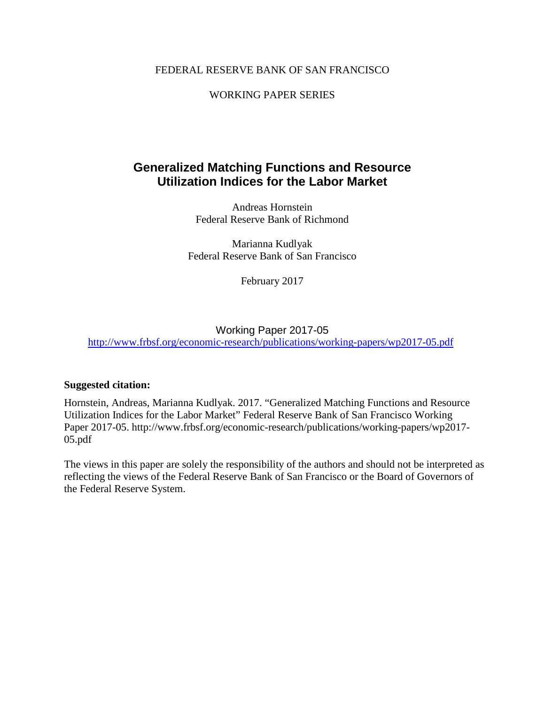#### FEDERAL RESERVE BANK OF SAN FRANCISCO

#### WORKING PAPER SERIES

### **Generalized Matching Functions and Resource Utilization Indices for the Labor Market**

Andreas Hornstein Federal Reserve Bank of Richmond

Marianna Kudlyak Federal Reserve Bank of San Francisco

February 2017

### Working Paper 2017-05 <http://www.frbsf.org/economic-research/publications/working-papers/wp2017-05.pdf>

#### **Suggested citation:**

Hornstein, Andreas, Marianna Kudlyak. 2017. "Generalized Matching Functions and Resource Utilization Indices for the Labor Market" Federal Reserve Bank of San Francisco Working Paper 2017-05. http://www.frbsf.org/economic-research/publications/working-papers/wp2017- 05.pdf

The views in this paper are solely the responsibility of the authors and should not be interpreted as reflecting the views of the Federal Reserve Bank of San Francisco or the Board of Governors of the Federal Reserve System.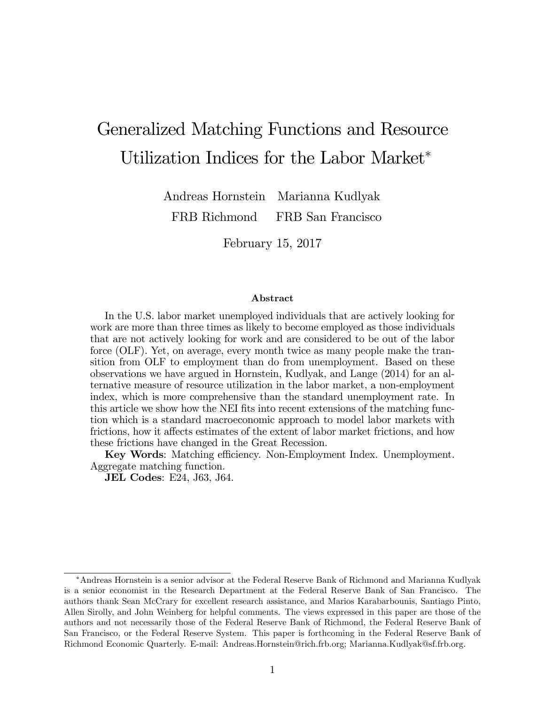# Generalized Matching Functions and Resource Utilization Indices for the Labor Market

Andreas Hornstein FRB Richmond Marianna Kudlyak FRB San Francisco

February 15, 2017

#### Abstract

In the U.S. labor market unemployed individuals that are actively looking for work are more than three times as likely to become employed as those individuals that are not actively looking for work and are considered to be out of the labor force (OLF). Yet, on average, every month twice as many people make the transition from OLF to employment than do from unemployment. Based on these observations we have argued in Hornstein, Kudlyak, and Lange (2014) for an alternative measure of resource utilization in the labor market, a non-employment index, which is more comprehensive than the standard unemployment rate. In this article we show how the NEI fits into recent extensions of the matching function which is a standard macroeconomic approach to model labor markets with frictions, how it affects estimates of the extent of labor market frictions, and how these frictions have changed in the Great Recession.

Key Words: Matching efficiency. Non-Employment Index. Unemployment. Aggregate matching function.

JEL Codes: E24, J63, J64.

Andreas Hornstein is a senior advisor at the Federal Reserve Bank of Richmond and Marianna Kudlyak is a senior economist in the Research Department at the Federal Reserve Bank of San Francisco. The authors thank Sean McCrary for excellent research assistance, and Marios Karabarbounis, Santiago Pinto, Allen Sirolly, and John Weinberg for helpful comments. The views expressed in this paper are those of the authors and not necessarily those of the Federal Reserve Bank of Richmond, the Federal Reserve Bank of San Francisco, or the Federal Reserve System. This paper is forthcoming in the Federal Reserve Bank of Richmond Economic Quarterly. E-mail: Andreas.Hornstein@rich.frb.org; Marianna.Kudlyak@sf.frb.org.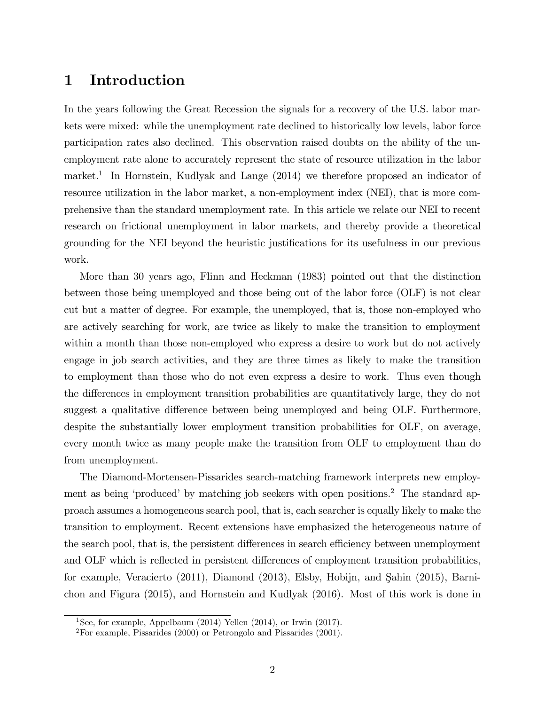### 1 Introduction

In the years following the Great Recession the signals for a recovery of the U.S. labor markets were mixed: while the unemployment rate declined to historically low levels, labor force participation rates also declined. This observation raised doubts on the ability of the unemployment rate alone to accurately represent the state of resource utilization in the labor market.<sup>1</sup> In Hornstein, Kudlyak and Lange (2014) we therefore proposed an indicator of resource utilization in the labor market, a non-employment index (NEI), that is more comprehensive than the standard unemployment rate. In this article we relate our NEI to recent research on frictional unemployment in labor markets, and thereby provide a theoretical grounding for the NEI beyond the heuristic justifications for its usefulness in our previous work.

More than 30 years ago, Flinn and Heckman (1983) pointed out that the distinction between those being unemployed and those being out of the labor force (OLF) is not clear cut but a matter of degree. For example, the unemployed, that is, those non-employed who are actively searching for work, are twice as likely to make the transition to employment within a month than those non-employed who express a desire to work but do not actively engage in job search activities, and they are three times as likely to make the transition to employment than those who do not even express a desire to work. Thus even though the differences in employment transition probabilities are quantitatively large, they do not suggest a qualitative difference between being unemployed and being OLF. Furthermore, despite the substantially lower employment transition probabilities for OLF, on average, every month twice as many people make the transition from OLF to employment than do from unemployment.

The Diamond-Mortensen-Pissarides search-matching framework interprets new employment as being 'produced' by matching job seekers with open positions.<sup>2</sup> The standard approach assumes a homogeneous search pool, that is, each searcher is equally likely to make the transition to employment. Recent extensions have emphasized the heterogeneous nature of the search pool, that is, the persistent differences in search efficiency between unemployment and OLF which is reflected in persistent differences of employment transition probabilities, for example, Veracierto (2011), Diamond (2013), Elsby, Hobijn, and Şahin (2015), Barnichon and Figura (2015), and Hornstein and Kudlyak (2016). Most of this work is done in

<sup>&</sup>lt;sup>1</sup>See, for example, Appelbaum (2014) Yellen (2014), or Irwin (2017).

 $2^2$ For example, Pissarides (2000) or Petrongolo and Pissarides (2001).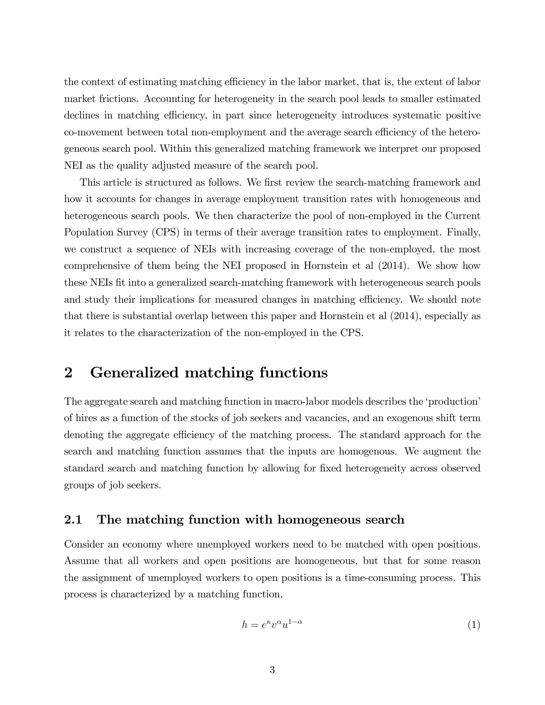the context of estimating matching efficiency in the labor market, that is, the extent of labor market frictions. Accounting for heterogeneity in the search pool leads to smaller estimated declines in matching efficiency, in part since heterogeneity introduces systematic positive co-movement between total non-employment and the average search efficiency of the heterogeneous search pool. Within this generalized matching framework we interpret our proposed NEI as the quality adjusted measure of the search pool.

This article is structured as follows. We first review the search-matching framework and how it accounts for changes in average employment transition rates with homogeneous and heterogeneous search pools. We then characterize the pool of non-employed in the Current Population Survey (CPS) in terms of their average transition rates to employment. Finally, we construct a sequence of NEIs with increasing coverage of the non-employed, the most comprehensive of them being the NEI proposed in Hornstein et al (2014). We show how these NEIs Öt into a generalized search-matching framework with heterogeneous search pools and study their implications for measured changes in matching efficiency. We should note that there is substantial overlap between this paper and Hornstein et al (2014), especially as it relates to the characterization of the non-employed in the CPS.

### 2 Generalized matching functions

The aggregate search and matching function in macro-labor models describes the 'production' of hires as a function of the stocks of job seekers and vacancies, and an exogenous shift term denoting the aggregate efficiency of the matching process. The standard approach for the search and matching function assumes that the inputs are homogenous. We augment the standard search and matching function by allowing for Öxed heterogeneity across observed groups of job seekers.

#### 2.1 The matching function with homogeneous search

Consider an economy where unemployed workers need to be matched with open positions. Assume that all workers and open positions are homogeneous, but that for some reason the assignment of unemployed workers to open positions is a time-consuming process. This process is characterized by a matching function,

$$
h = e^{\kappa} v^{\alpha} u^{1-\alpha} \tag{1}
$$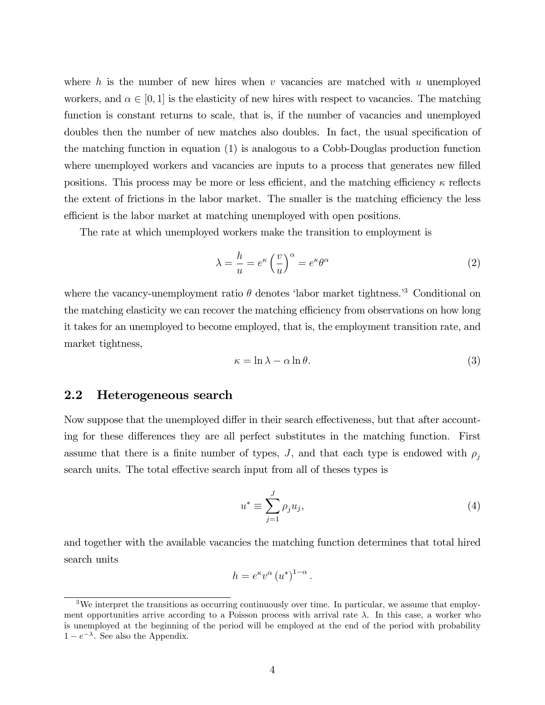where h is the number of new hires when v vacancies are matched with u unemployed workers, and  $\alpha \in [0, 1]$  is the elasticity of new hires with respect to vacancies. The matching function is constant returns to scale, that is, if the number of vacancies and unemployed doubles then the number of new matches also doubles. In fact, the usual specification of the matching function in equation (1) is analogous to a Cobb-Douglas production function where unemployed workers and vacancies are inputs to a process that generates new filled positions. This process may be more or less efficient, and the matching efficiency  $\kappa$  reflects the extent of frictions in the labor market. The smaller is the matching efficiency the less efficient is the labor market at matching unemployed with open positions.

The rate at which unemployed workers make the transition to employment is

$$
\lambda = \frac{h}{u} = e^{\kappa} \left(\frac{v}{u}\right)^{\alpha} = e^{\kappa} \theta^{\alpha} \tag{2}
$$

where the vacancy-unemployment ratio  $\theta$  denotes 'labor market tightness.<sup>3</sup> Conditional on the matching elasticity we can recover the matching efficiency from observations on how long it takes for an unemployed to become employed, that is, the employment transition rate, and market tightness,

$$
\kappa = \ln \lambda - \alpha \ln \theta. \tag{3}
$$

#### 2.2 Heterogeneous search

Now suppose that the unemployed differ in their search effectiveness, but that after accounting for these differences they are all perfect substitutes in the matching function. First assume that there is a finite number of types, J, and that each type is endowed with  $\rho_i$ search units. The total effective search input from all of theses types is

$$
u^* \equiv \sum_{j=1}^J \rho_j u_j,\tag{4}
$$

and together with the available vacancies the matching function determines that total hired search units

$$
h = e^{\kappa} v^{\alpha} (u^*)^{1-\alpha}.
$$

<sup>&</sup>lt;sup>3</sup>We interpret the transitions as occurring continuously over time. In particular, we assume that employment opportunities arrive according to a Poisson process with arrival rate  $\lambda$ . In this case, a worker who is unemployed at the beginning of the period will be employed at the end of the period with probability  $1 - e^{-\lambda}$ . See also the Appendix.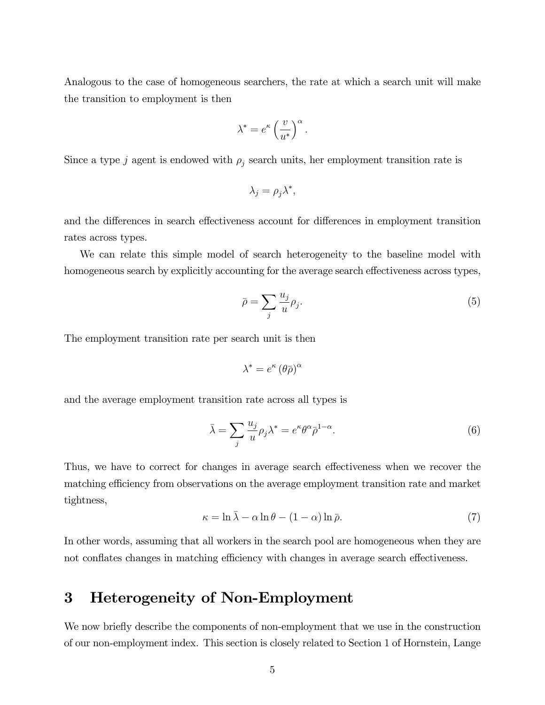Analogous to the case of homogeneous searchers, the rate at which a search unit will make the transition to employment is then

$$
\lambda^* = e^\kappa \left(\frac{v}{u^*}\right)^\alpha.
$$

Since a type j agent is endowed with  $\rho_j$  search units, her employment transition rate is

$$
\lambda_j = \rho_j \lambda^*,
$$

and the differences in search effectiveness account for differences in employment transition rates across types.

We can relate this simple model of search heterogeneity to the baseline model with homogeneous search by explicitly accounting for the average search effectiveness across types,

$$
\bar{\rho} = \sum_{j} \frac{u_j}{u} \rho_j. \tag{5}
$$

The employment transition rate per search unit is then

$$
\lambda^* = e^\kappa \left(\theta \bar{\rho}\right)^\alpha
$$

and the average employment transition rate across all types is

$$
\bar{\lambda} = \sum_{j} \frac{u_j}{u} \rho_j \lambda^* = e^{\kappa} \theta^{\alpha} \bar{\rho}^{1-\alpha}.
$$
 (6)

Thus, we have to correct for changes in average search effectiveness when we recover the matching efficiency from observations on the average employment transition rate and market tightness,

$$
\kappa = \ln \bar{\lambda} - \alpha \ln \theta - (1 - \alpha) \ln \bar{\rho}.
$$
 (7)

In other words, assuming that all workers in the search pool are homogeneous when they are not conflates changes in matching efficiency with changes in average search effectiveness.

### 3 Heterogeneity of Non-Employment

We now briefly describe the components of non-employment that we use in the construction of our non-employment index. This section is closely related to Section 1 of Hornstein, Lange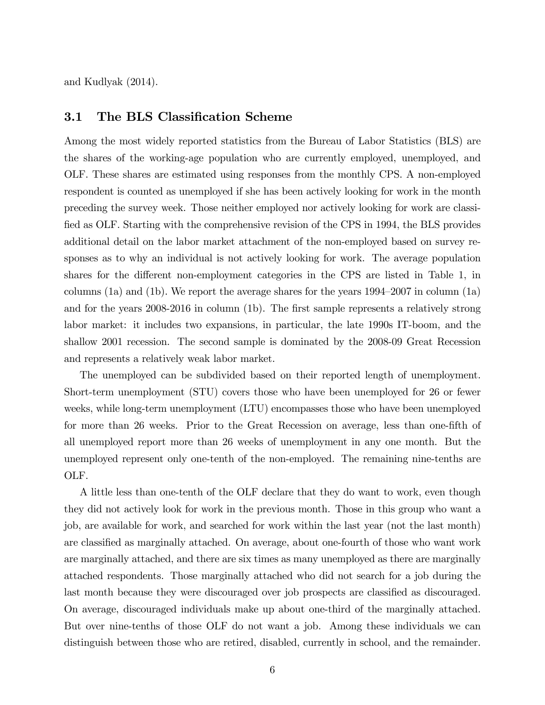and Kudlyak (2014).

#### 3.1 The BLS Classification Scheme

Among the most widely reported statistics from the Bureau of Labor Statistics (BLS) are the shares of the working-age population who are currently employed, unemployed, and OLF. These shares are estimated using responses from the monthly CPS. A non-employed respondent is counted as unemployed if she has been actively looking for work in the month preceding the survey week. Those neither employed nor actively looking for work are classified as OLF. Starting with the comprehensive revision of the CPS in 1994, the BLS provides additional detail on the labor market attachment of the non-employed based on survey responses as to why an individual is not actively looking for work. The average population shares for the different non-employment categories in the CPS are listed in Table 1, in columns (1a) and (1b). We report the average shares for the years  $1994-2007$  in column (1a) and for the years 2008-2016 in column (1b). The first sample represents a relatively strong labor market: it includes two expansions, in particular, the late 1990s IT-boom, and the shallow 2001 recession. The second sample is dominated by the 2008-09 Great Recession and represents a relatively weak labor market.

The unemployed can be subdivided based on their reported length of unemployment. Short-term unemployment (STU) covers those who have been unemployed for 26 or fewer weeks, while long-term unemployment (LTU) encompasses those who have been unemployed for more than 26 weeks. Prior to the Great Recession on average, less than one-fifth of all unemployed report more than 26 weeks of unemployment in any one month. But the unemployed represent only one-tenth of the non-employed. The remaining nine-tenths are OLF.

A little less than one-tenth of the OLF declare that they do want to work, even though they did not actively look for work in the previous month. Those in this group who want a job, are available for work, and searched for work within the last year (not the last month) are classified as marginally attached. On average, about one-fourth of those who want work are marginally attached, and there are six times as many unemployed as there are marginally attached respondents. Those marginally attached who did not search for a job during the last month because they were discouraged over job prospects are classified as discouraged. On average, discouraged individuals make up about one-third of the marginally attached. But over nine-tenths of those OLF do not want a job. Among these individuals we can distinguish between those who are retired, disabled, currently in school, and the remainder.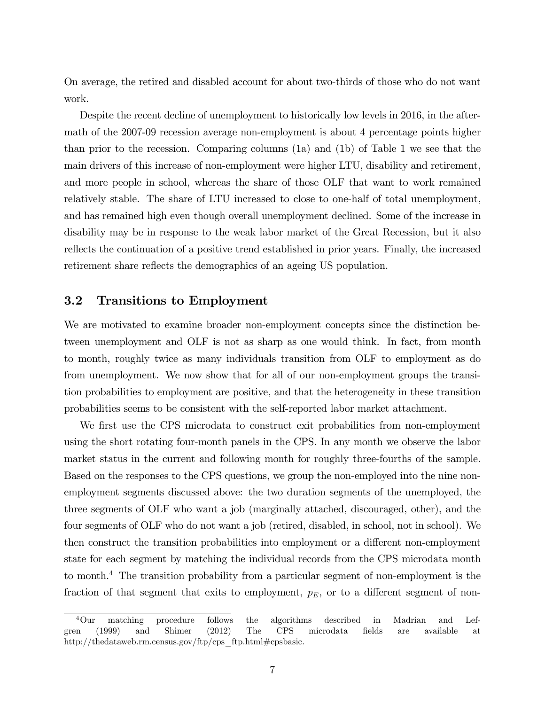On average, the retired and disabled account for about two-thirds of those who do not want work.

Despite the recent decline of unemployment to historically low levels in 2016, in the aftermath of the 2007-09 recession average non-employment is about 4 percentage points higher than prior to the recession. Comparing columns (1a) and (1b) of Table 1 we see that the main drivers of this increase of non-employment were higher LTU, disability and retirement, and more people in school, whereas the share of those OLF that want to work remained relatively stable. The share of LTU increased to close to one-half of total unemployment, and has remained high even though overall unemployment declined. Some of the increase in disability may be in response to the weak labor market of the Great Recession, but it also reflects the continuation of a positive trend established in prior years. Finally, the increased retirement share reflects the demographics of an ageing US population.

#### 3.2 Transitions to Employment

We are motivated to examine broader non-employment concepts since the distinction between unemployment and OLF is not as sharp as one would think. In fact, from month to month, roughly twice as many individuals transition from OLF to employment as do from unemployment. We now show that for all of our non-employment groups the transition probabilities to employment are positive, and that the heterogeneity in these transition probabilities seems to be consistent with the self-reported labor market attachment.

We first use the CPS microdata to construct exit probabilities from non-employment using the short rotating four-month panels in the CPS. In any month we observe the labor market status in the current and following month for roughly three-fourths of the sample. Based on the responses to the CPS questions, we group the non-employed into the nine nonemployment segments discussed above: the two duration segments of the unemployed, the three segments of OLF who want a job (marginally attached, discouraged, other), and the four segments of OLF who do not want a job (retired, disabled, in school, not in school). We then construct the transition probabilities into employment or a different non-employment state for each segment by matching the individual records from the CPS microdata month to month.<sup>4</sup> The transition probability from a particular segment of non-employment is the fraction of that segment that exits to employment,  $p_E$ , or to a different segment of non-

<sup>4</sup>Our matching procedure follows the algorithms described in Madrian and Lefgren (1999) and Shimer (2012) The CPS microdata Öelds are available at http://thedataweb.rm.census.gov/ftp/cps\_ftp.html#cpsbasic.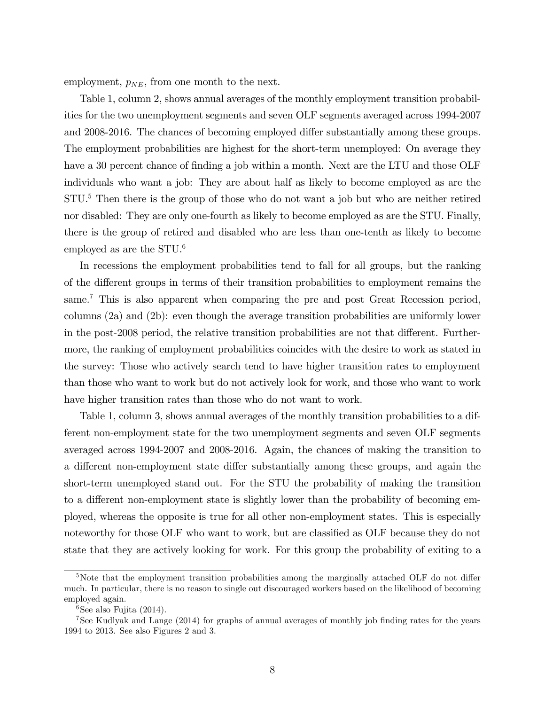employment,  $p_{NE}$ , from one month to the next.

Table 1, column 2, shows annual averages of the monthly employment transition probabilities for the two unemployment segments and seven OLF segments averaged across 1994-2007 and 2008-2016. The chances of becoming employed differ substantially among these groups. The employment probabilities are highest for the short-term unemployed: On average they have a 30 percent chance of finding a job within a month. Next are the LTU and those OLF individuals who want a job: They are about half as likely to become employed as are the STU.<sup>5</sup> Then there is the group of those who do not want a job but who are neither retired nor disabled: They are only one-fourth as likely to become employed as are the STU. Finally, there is the group of retired and disabled who are less than one-tenth as likely to become employed as are the  $STU<sup>6</sup>$ 

In recessions the employment probabilities tend to fall for all groups, but the ranking of the different groups in terms of their transition probabilities to employment remains the same.<sup>7</sup> This is also apparent when comparing the pre and post Great Recession period, columns (2a) and (2b): even though the average transition probabilities are uniformly lower in the post-2008 period, the relative transition probabilities are not that different. Furthermore, the ranking of employment probabilities coincides with the desire to work as stated in the survey: Those who actively search tend to have higher transition rates to employment than those who want to work but do not actively look for work, and those who want to work have higher transition rates than those who do not want to work.

Table 1, column 3, shows annual averages of the monthly transition probabilities to a different non-employment state for the two unemployment segments and seven OLF segments averaged across 1994-2007 and 2008-2016. Again, the chances of making the transition to a different non-employment state differ substantially among these groups, and again the short-term unemployed stand out. For the STU the probability of making the transition to a different non-employment state is slightly lower than the probability of becoming employed, whereas the opposite is true for all other non-employment states. This is especially noteworthy for those OLF who want to work, but are classified as OLF because they do not state that they are actively looking for work. For this group the probability of exiting to a

 $5$ Note that the employment transition probabilities among the marginally attached OLF do not differ much. In particular, there is no reason to single out discouraged workers based on the likelihood of becoming employed again.

 $6$ See also Fujita (2014).

<sup>&</sup>lt;sup>7</sup>See Kudlyak and Lange (2014) for graphs of annual averages of monthly job finding rates for the years 1994 to 2013. See also Figures 2 and 3.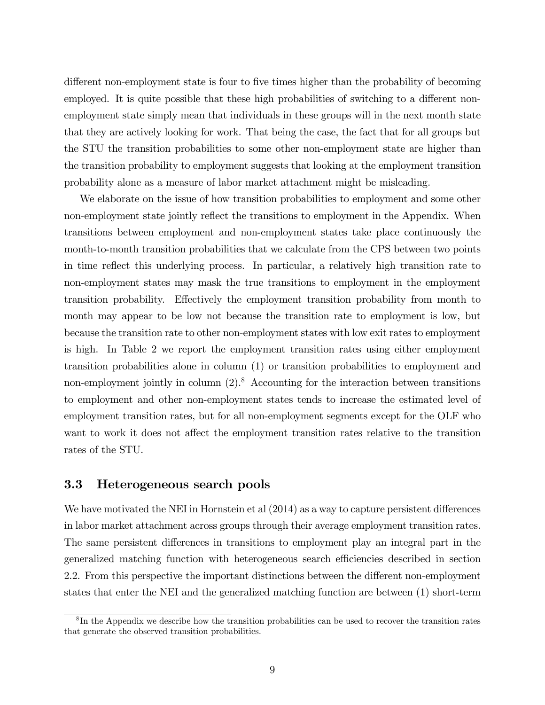different non-employment state is four to five times higher than the probability of becoming employed. It is quite possible that these high probabilities of switching to a different nonemployment state simply mean that individuals in these groups will in the next month state that they are actively looking for work. That being the case, the fact that for all groups but the STU the transition probabilities to some other non-employment state are higher than the transition probability to employment suggests that looking at the employment transition probability alone as a measure of labor market attachment might be misleading.

We elaborate on the issue of how transition probabilities to employment and some other non-employment state jointly reflect the transitions to employment in the Appendix. When transitions between employment and non-employment states take place continuously the month-to-month transition probabilities that we calculate from the CPS between two points in time reflect this underlying process. In particular, a relatively high transition rate to non-employment states may mask the true transitions to employment in the employment transition probability. Effectively the employment transition probability from month to month may appear to be low not because the transition rate to employment is low, but because the transition rate to other non-employment states with low exit rates to employment is high. In Table 2 we report the employment transition rates using either employment transition probabilities alone in column (1) or transition probabilities to employment and non-employment jointly in column  $(2)$ .<sup>8</sup> Accounting for the interaction between transitions to employment and other non-employment states tends to increase the estimated level of employment transition rates, but for all non-employment segments except for the OLF who want to work it does not affect the employment transition rates relative to the transition rates of the STU.

#### 3.3 Heterogeneous search pools

We have motivated the NEI in Hornstein et al  $(2014)$  as a way to capture persistent differences in labor market attachment across groups through their average employment transition rates. The same persistent differences in transitions to employment play an integral part in the generalized matching function with heterogeneous search efficiencies described in section 2.2. From this perspective the important distinctions between the different non-employment states that enter the NEI and the generalized matching function are between (1) short-term

<sup>&</sup>lt;sup>8</sup>In the Appendix we describe how the transition probabilities can be used to recover the transition rates that generate the observed transition probabilities.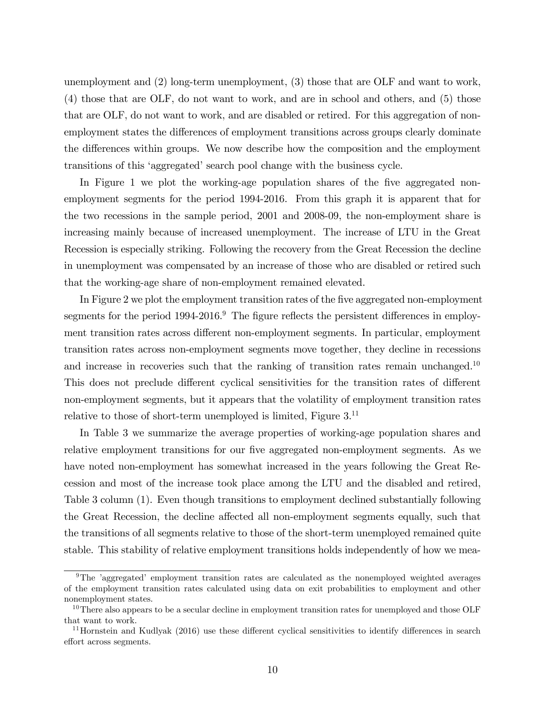unemployment and (2) long-term unemployment, (3) those that are OLF and want to work, (4) those that are OLF, do not want to work, and are in school and others, and (5) those that are OLF, do not want to work, and are disabled or retired. For this aggregation of nonemployment states the differences of employment transitions across groups clearly dominate the differences within groups. We now describe how the composition and the employment transitions of this 'aggregated' search pool change with the business cycle.

In Figure 1 we plot the working-age population shares of the five aggregated nonemployment segments for the period 1994-2016. From this graph it is apparent that for the two recessions in the sample period, 2001 and 2008-09, the non-employment share is increasing mainly because of increased unemployment. The increase of LTU in the Great Recession is especially striking. Following the recovery from the Great Recession the decline in unemployment was compensated by an increase of those who are disabled or retired such that the working-age share of non-employment remained elevated.

In Figure 2 we plot the employment transition rates of the five aggregated non-employment segments for the period  $1994-2016$ .<sup>9</sup> The figure reflects the persistent differences in employment transition rates across different non-employment segments. In particular, employment transition rates across non-employment segments move together, they decline in recessions and increase in recoveries such that the ranking of transition rates remain unchanged.<sup>10</sup> This does not preclude different cyclical sensitivities for the transition rates of different non-employment segments, but it appears that the volatility of employment transition rates relative to those of short-term unemployed is limited, Figure  $3<sup>11</sup>$ 

In Table 3 we summarize the average properties of working-age population shares and relative employment transitions for our five aggregated non-employment segments. As we have noted non-employment has somewhat increased in the years following the Great Recession and most of the increase took place among the LTU and the disabled and retired, Table 3 column (1). Even though transitions to employment declined substantially following the Great Recession, the decline affected all non-employment segments equally, such that the transitions of all segments relative to those of the short-term unemployed remained quite stable. This stability of relative employment transitions holds independently of how we mea-

<sup>&</sup>lt;sup>9</sup>The 'aggregated' employment transition rates are calculated as the nonemployed weighted averages of the employment transition rates calculated using data on exit probabilities to employment and other nonemployment states.

 $10$ There also appears to be a secular decline in employment transition rates for unemployed and those OLF that want to work.

 $11$ Hornstein and Kudlyak (2016) use these different cyclical sensitivities to identify differences in search effort across segments.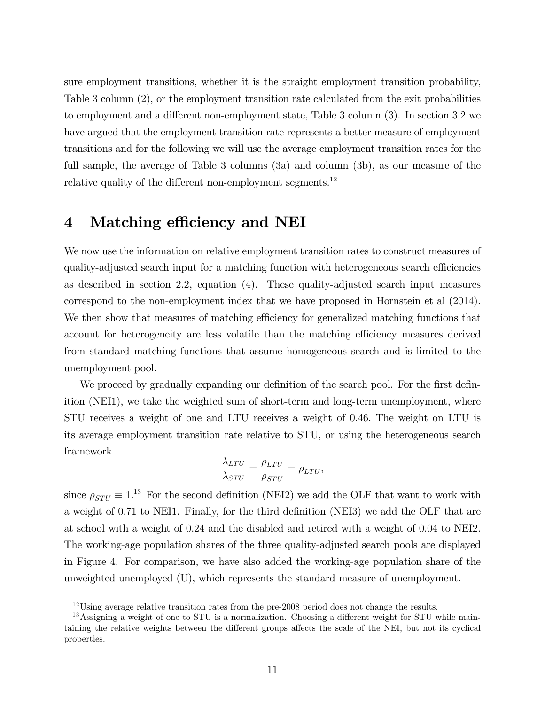sure employment transitions, whether it is the straight employment transition probability, Table 3 column (2), or the employment transition rate calculated from the exit probabilities to employment and a different non-employment state, Table  $3$  column  $(3)$ . In section  $3.2$  we have argued that the employment transition rate represents a better measure of employment transitions and for the following we will use the average employment transition rates for the full sample, the average of Table 3 columns (3a) and column (3b), as our measure of the relative quality of the different non-employment segments.<sup>12</sup>

### 4 Matching efficiency and NEI

We now use the information on relative employment transition rates to construct measures of quality-adjusted search input for a matching function with heterogeneous search efficiencies as described in section 2.2, equation (4). These quality-adjusted search input measures correspond to the non-employment index that we have proposed in Hornstein et al (2014). We then show that measures of matching efficiency for generalized matching functions that account for heterogeneity are less volatile than the matching efficiency measures derived from standard matching functions that assume homogeneous search and is limited to the unemployment pool.

We proceed by gradually expanding our definition of the search pool. For the first definition (NEI1), we take the weighted sum of short-term and long-term unemployment, where STU receives a weight of one and LTU receives a weight of 0.46. The weight on LTU is its average employment transition rate relative to STU, or using the heterogeneous search framework

$$
\frac{\lambda_{LTU}}{\lambda_{STU}} = \frac{\rho_{LTU}}{\rho_{STU}} = \rho_{LTU},
$$

since  $\rho_{STU} \equiv 1^{13}$  For the second definition (NEI2) we add the OLF that want to work with a weight of 0.71 to NEI1. Finally, for the third definition (NEI3) we add the OLF that are at school with a weight of 0.24 and the disabled and retired with a weight of 0.04 to NEI2. The working-age population shares of the three quality-adjusted search pools are displayed in Figure 4. For comparison, we have also added the working-age population share of the unweighted unemployed (U), which represents the standard measure of unemployment.

 $12 \text{Using average relative transition rates from the pre-2008 period does not change the results.}$ 

 $13$ Assigning a weight of one to STU is a normalization. Choosing a different weight for STU while maintaining the relative weights between the different groups affects the scale of the NEI, but not its cyclical properties.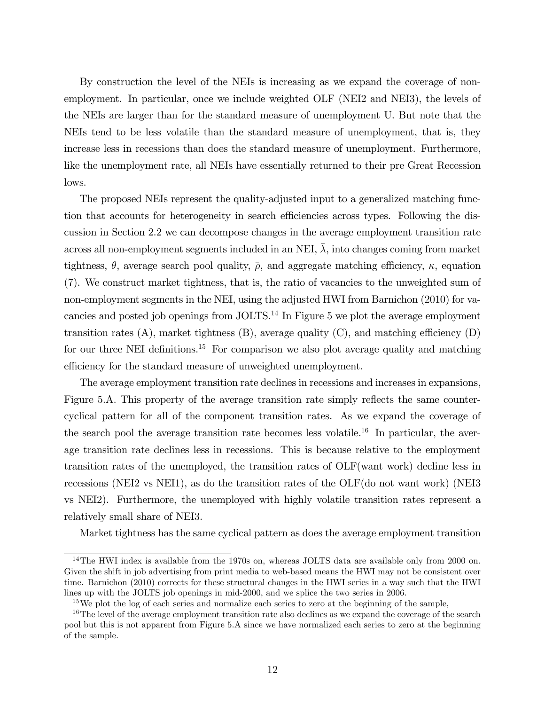By construction the level of the NEIs is increasing as we expand the coverage of nonemployment. In particular, once we include weighted OLF (NEI2 and NEI3), the levels of the NEIs are larger than for the standard measure of unemployment U. But note that the NEIs tend to be less volatile than the standard measure of unemployment, that is, they increase less in recessions than does the standard measure of unemployment. Furthermore, like the unemployment rate, all NEIs have essentially returned to their pre Great Recession lows.

The proposed NEIs represent the quality-adjusted input to a generalized matching function that accounts for heterogeneity in search efficiencies across types. Following the discussion in Section 2.2 we can decompose changes in the average employment transition rate across all non-employment segments included in an NEI,  $\overline{\lambda}$ , into changes coming from market tightness,  $\theta$ , average search pool quality,  $\bar{\rho}$ , and aggregate matching efficiency,  $\kappa$ , equation (7). We construct market tightness, that is, the ratio of vacancies to the unweighted sum of non-employment segments in the NEI, using the adjusted HWI from Barnichon (2010) for vacancies and posted job openings from  $JOLTS$ <sup>14</sup> In Figure 5 we plot the average employment transition rates  $(A)$ , market tightness  $(B)$ , average quality  $(C)$ , and matching efficiency  $(D)$ for our three NEI definitions.<sup>15</sup> For comparison we also plot average quality and matching efficiency for the standard measure of unweighted unemployment.

The average employment transition rate declines in recessions and increases in expansions, Figure 5.A. This property of the average transition rate simply reflects the same countercyclical pattern for all of the component transition rates. As we expand the coverage of the search pool the average transition rate becomes less volatile.<sup>16</sup> In particular, the average transition rate declines less in recessions. This is because relative to the employment transition rates of the unemployed, the transition rates of OLF(want work) decline less in recessions (NEI2 vs NEI1), as do the transition rates of the OLF(do not want work) (NEI3 vs NEI2). Furthermore, the unemployed with highly volatile transition rates represent a relatively small share of NEI3.

Market tightness has the same cyclical pattern as does the average employment transition

<sup>&</sup>lt;sup>14</sup>The HWI index is available from the 1970s on, whereas JOLTS data are available only from 2000 on. Given the shift in job advertising from print media to web-based means the HWI may not be consistent over time. Barnichon (2010) corrects for these structural changes in the HWI series in a way such that the HWI lines up with the JOLTS job openings in mid-2000, and we splice the two series in 2006.

<sup>&</sup>lt;sup>15</sup>We plot the log of each series and normalize each series to zero at the beginning of the sample,

<sup>&</sup>lt;sup>16</sup>The level of the average employment transition rate also declines as we expand the coverage of the search pool but this is not apparent from Figure 5.A since we have normalized each series to zero at the beginning of the sample.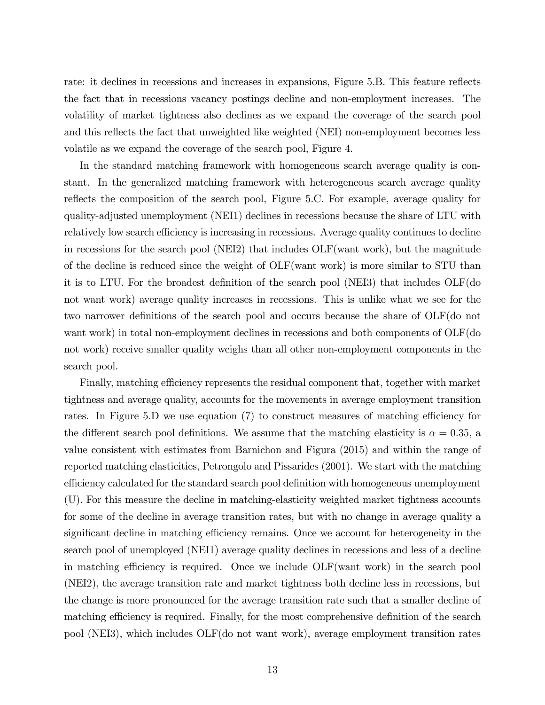rate: it declines in recessions and increases in expansions, Figure 5.B. This feature reflects the fact that in recessions vacancy postings decline and non-employment increases. The volatility of market tightness also declines as we expand the coverage of the search pool and this reflects the fact that unweighted like weighted (NEI) non-employment becomes less volatile as we expand the coverage of the search pool, Figure 4.

In the standard matching framework with homogeneous search average quality is constant. In the generalized matching framework with heterogeneous search average quality reflects the composition of the search pool, Figure 5.C. For example, average quality for quality-adjusted unemployment (NEI1) declines in recessions because the share of LTU with relatively low search efficiency is increasing in recessions. Average quality continues to decline in recessions for the search pool (NEI2) that includes OLF(want work), but the magnitude of the decline is reduced since the weight of OLF(want work) is more similar to STU than it is to LTU. For the broadest definition of the search pool (NEI3) that includes  $OLF(do)$ not want work) average quality increases in recessions. This is unlike what we see for the two narrower definitions of the search pool and occurs because the share of OLF(do not want work) in total non-employment declines in recessions and both components of OLF(do not work) receive smaller quality weighs than all other non-employment components in the search pool.

Finally, matching efficiency represents the residual component that, together with market tightness and average quality, accounts for the movements in average employment transition rates. In Figure 5.D we use equation  $(7)$  to construct measures of matching efficiency for the different search pool definitions. We assume that the matching elasticity is  $\alpha = 0.35$ , a value consistent with estimates from Barnichon and Figura (2015) and within the range of reported matching elasticities, Petrongolo and Pissarides (2001). We start with the matching efficiency calculated for the standard search pool definition with homogeneous unemployment (U). For this measure the decline in matching-elasticity weighted market tightness accounts for some of the decline in average transition rates, but with no change in average quality a significant decline in matching efficiency remains. Once we account for heterogeneity in the search pool of unemployed (NEI1) average quality declines in recessions and less of a decline in matching efficiency is required. Once we include  $\text{OLF}(\text{want work})$  in the search pool (NEI2), the average transition rate and market tightness both decline less in recessions, but the change is more pronounced for the average transition rate such that a smaller decline of matching efficiency is required. Finally, for the most comprehensive definition of the search pool (NEI3), which includes OLF(do not want work), average employment transition rates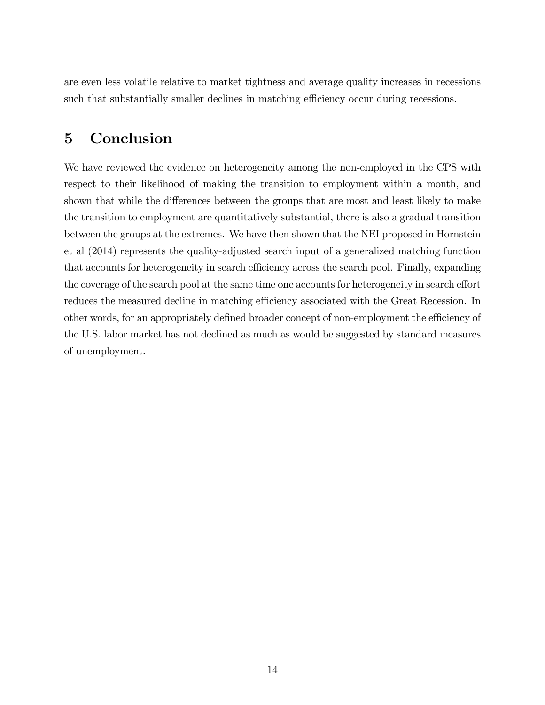are even less volatile relative to market tightness and average quality increases in recessions such that substantially smaller declines in matching efficiency occur during recessions.

## 5 Conclusion

We have reviewed the evidence on heterogeneity among the non-employed in the CPS with respect to their likelihood of making the transition to employment within a month, and shown that while the differences between the groups that are most and least likely to make the transition to employment are quantitatively substantial, there is also a gradual transition between the groups at the extremes. We have then shown that the NEI proposed in Hornstein et al (2014) represents the quality-adjusted search input of a generalized matching function that accounts for heterogeneity in search efficiency across the search pool. Finally, expanding the coverage of the search pool at the same time one accounts for heterogeneity in search effort reduces the measured decline in matching efficiency associated with the Great Recession. In other words, for an appropriately defined broader concept of non-employment the efficiency of the U.S. labor market has not declined as much as would be suggested by standard measures of unemployment.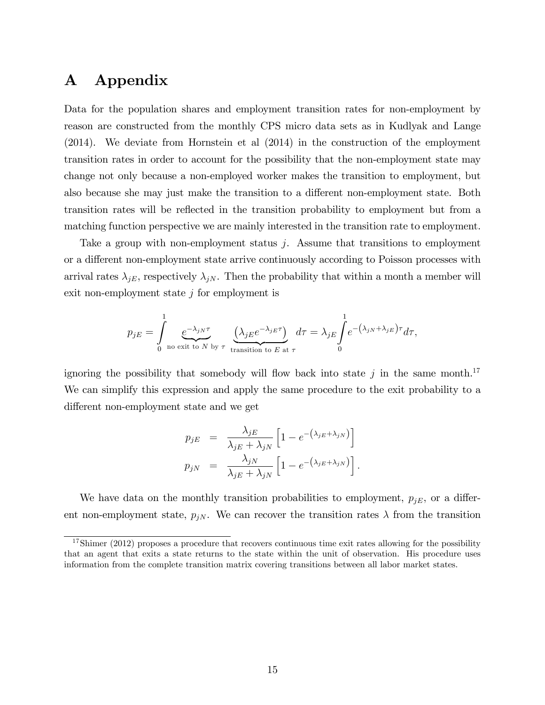## A Appendix

Data for the population shares and employment transition rates for non-employment by reason are constructed from the monthly CPS micro data sets as in Kudlyak and Lange (2014). We deviate from Hornstein et al (2014) in the construction of the employment transition rates in order to account for the possibility that the non-employment state may change not only because a non-employed worker makes the transition to employment, but also because she may just make the transition to a different non-employment state. Both transition rates will be reflected in the transition probability to employment but from a matching function perspective we are mainly interested in the transition rate to employment.

Take a group with non-employment status j. Assume that transitions to employment or a different non-employment state arrive continuously according to Poisson processes with arrival rates  $\lambda_{jE}$ , respectively  $\lambda_{jN}$ . Then the probability that within a month a member will exit non-employment state  $j$  for employment is

$$
p_{jE} = \int_{0}^{1} \underbrace{e^{-\lambda_{jN}\tau}}_{\text{no exit to } N \text{ by } \tau} \underbrace{(\lambda_{jE}e^{-\lambda_{jE}\tau})}_{\text{transition to } E \text{ at } \tau} d\tau = \lambda_{jE} \int_{0}^{1} e^{-\left(\lambda_{jN} + \lambda_{jE}\right)\tau} d\tau,
$$

ignoring the possibility that somebody will flow back into state j in the same month.<sup>17</sup> We can simplify this expression and apply the same procedure to the exit probability to a different non-employment state and we get

$$
p_{jE} = \frac{\lambda_{jE}}{\lambda_{jE} + \lambda_{jN}} \left[ 1 - e^{-(\lambda_{jE} + \lambda_{jN})} \right]
$$
  

$$
p_{jN} = \frac{\lambda_{jN}}{\lambda_{jE} + \lambda_{jN}} \left[ 1 - e^{-(\lambda_{jE} + \lambda_{jN})} \right].
$$

We have data on the monthly transition probabilities to employment,  $p_{jE}$ , or a different non-employment state,  $p_{jN}$ . We can recover the transition rates  $\lambda$  from the transition

<sup>&</sup>lt;sup>17</sup>Shimer (2012) proposes a procedure that recovers continuous time exit rates allowing for the possibility that an agent that exits a state returns to the state within the unit of observation. His procedure uses information from the complete transition matrix covering transitions between all labor market states.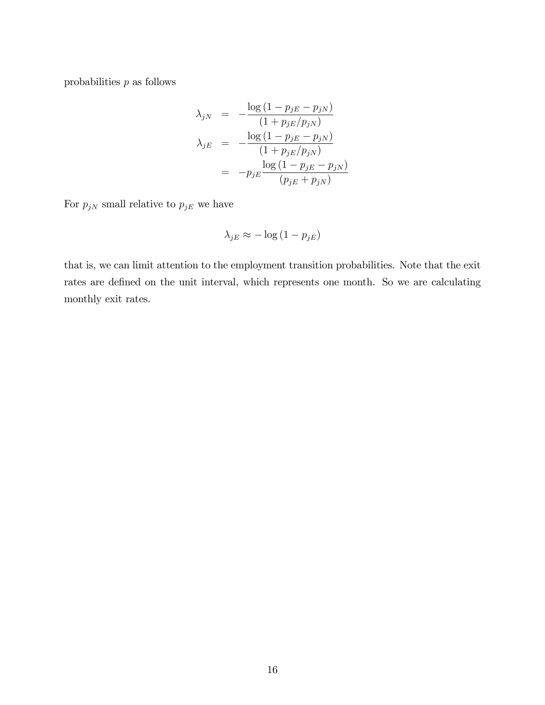probabilities  $p$  as follows

$$
\lambda_{jN} = -\frac{\log(1 - p_{jE} - p_{jN})}{(1 + p_{jE}/p_{jN})}
$$
\n
$$
\lambda_{jE} = -\frac{\log(1 - p_{jE} - p_{jN})}{(1 + p_{jE}/p_{jN})}
$$
\n
$$
= -p_{jE} \frac{\log(1 - p_{jE} - p_{jN})}{(p_{jE} + p_{jN})}
$$

For  $p_{jN}$  small relative to  $p_{jE}$  we have

$$
\lambda_{jE} \approx -\log\left(1 - p_{jE}\right)
$$

that is, we can limit attention to the employment transition probabilities. Note that the exit rates are defined on the unit interval, which represents one month. So we are calculating monthly exit rates.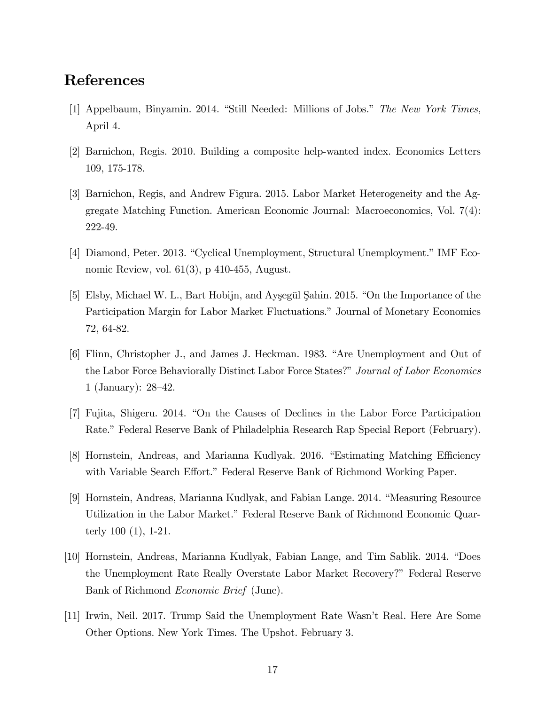### References

- [1] Appelbaum, Binyamin. 2014. "Still Needed: Millions of Jobs." The New York Times, April 4.
- [2] Barnichon, Regis. 2010. Building a composite help-wanted index. Economics Letters 109, 175-178.
- [3] Barnichon, Regis, and Andrew Figura. 2015. Labor Market Heterogeneity and the Aggregate Matching Function. American Economic Journal: Macroeconomics, Vol. 7(4): 222-49.
- [4] Diamond, Peter. 2013. "Cyclical Unemployment, Structural Unemployment." IMF Economic Review, vol. 61(3), p 410-455, August.
- [5] Elsby, Michael W. L., Bart Hobijn, and Aysegül Şahin. 2015. "On the Importance of the Participation Margin for Labor Market Fluctuations." Journal of Monetary Economics 72, 64-82.
- [6] Flinn, Christopher J., and James J. Heckman. 1983. "Are Unemployment and Out of the Labor Force Behaviorally Distinct Labor Force States?" Journal of Labor Economics 1 (January):  $28-42$ .
- [7] Fujita, Shigeru. 2014. "On the Causes of Declines in the Labor Force Participation Rate." Federal Reserve Bank of Philadelphia Research Rap Special Report (February).
- [8] Hornstein, Andreas, and Marianna Kudlyak. 2016. "Estimating Matching Efficiency with Variable Search Effort." Federal Reserve Bank of Richmond Working Paper.
- [9] Hornstein, Andreas, Marianna Kudlyak, and Fabian Lange. 2014. "Measuring Resource Utilization in the Labor Market." Federal Reserve Bank of Richmond Economic Quarterly 100 (1), 1-21.
- [10] Hornstein, Andreas, Marianna Kudlyak, Fabian Lange, and Tim Sablik. 2014. "Does the Unemployment Rate Really Overstate Labor Market Recovery?" Federal Reserve Bank of Richmond Economic Brief (June).
- [11] Irwin, Neil. 2017. Trump Said the Unemployment Rate Wasn't Real. Here Are Some Other Options. New York Times. The Upshot. February 3.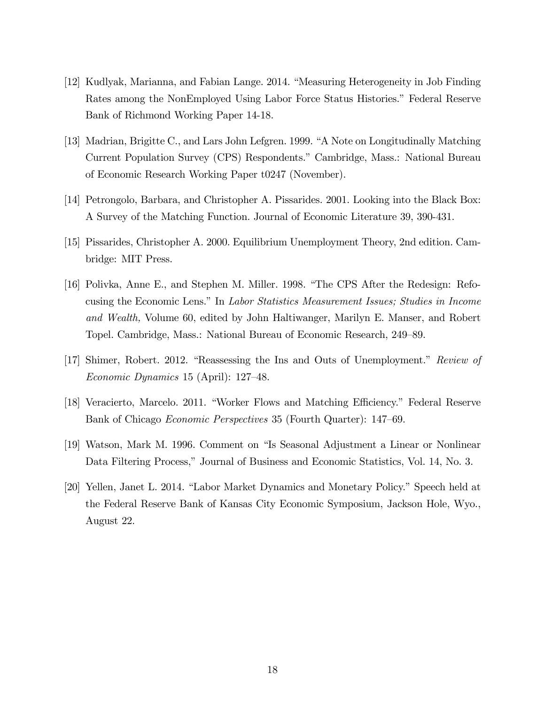- [12] Kudlyak, Marianna, and Fabian Lange. 2014. "Measuring Heterogeneity in Job Finding Rates among the NonEmployed Using Labor Force Status Histories." Federal Reserve Bank of Richmond Working Paper 14-18.
- [13] Madrian, Brigitte C., and Lars John Lefgren. 1999. "A Note on Longitudinally Matching Current Population Survey (CPS) Respondents.î Cambridge, Mass.: National Bureau of Economic Research Working Paper t0247 (November).
- [14] Petrongolo, Barbara, and Christopher A. Pissarides. 2001. Looking into the Black Box: A Survey of the Matching Function. Journal of Economic Literature 39, 390-431.
- [15] Pissarides, Christopher A. 2000. Equilibrium Unemployment Theory, 2nd edition. Cambridge: MIT Press.
- [16] Polivka, Anne E., and Stephen M. Miller. 1998. "The CPS After the Redesign: Refocusing the Economic Lens." In Labor Statistics Measurement Issues; Studies in Income and Wealth, Volume 60, edited by John Haltiwanger, Marilyn E. Manser, and Robert Topel. Cambridge, Mass.: National Bureau of Economic Research, 249–89.
- [17] Shimer, Robert. 2012. "Reassessing the Ins and Outs of Unemployment." Review of Economic Dynamics 15 (April):  $127-48$ .
- [18] Veracierto, Marcelo. 2011. "Worker Flows and Matching Efficiency." Federal Reserve Bank of Chicago Economic Perspectives 35 (Fourth Quarter): 147–69.
- [19] Watson, Mark M. 1996. Comment on "Is Seasonal Adjustment a Linear or Nonlinear Data Filtering Process," Journal of Business and Economic Statistics, Vol. 14, No. 3.
- [20] Yellen, Janet L. 2014. "Labor Market Dynamics and Monetary Policy." Speech held at the Federal Reserve Bank of Kansas City Economic Symposium, Jackson Hole, Wyo., August 22.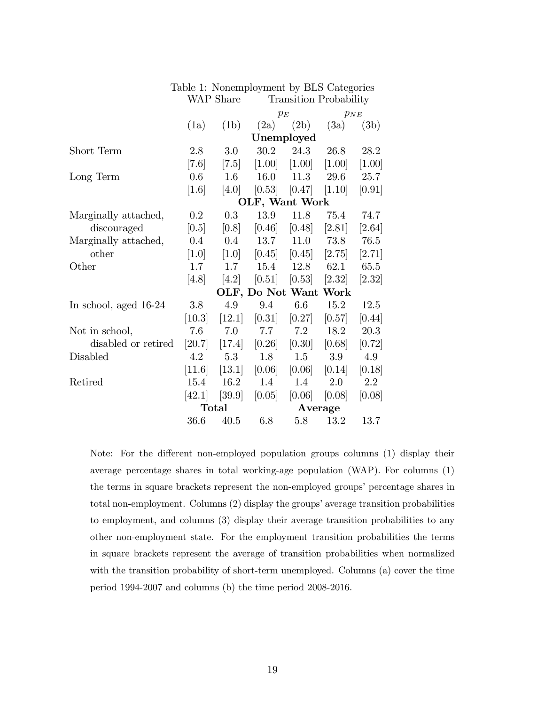|                       |              |         | $p_E$<br>(2b)<br>(2a) |            | $p_{NE}$<br>(3a)<br>(3b) |          |  |  |  |
|-----------------------|--------------|---------|-----------------------|------------|--------------------------|----------|--|--|--|
|                       | (1a)         | (1b)    |                       |            |                          |          |  |  |  |
|                       |              |         |                       | Unemployed |                          |          |  |  |  |
|                       |              |         |                       |            |                          |          |  |  |  |
| Short Term            | 2.8          | 3.0     | $30.2\,$              | 24.3       | 26.8                     | 28.2     |  |  |  |
|                       | [7.6]        | [7.5]   | [1.00]                | [1.00]     | $[1.00]$                 | $[1.00]$ |  |  |  |
| Long Term             | 0.6          | 1.6     | 16.0                  | 11.3       | 29.6                     | 25.7     |  |  |  |
|                       | [1.6]        | [4.0]   | [0.53]                | [0.47]     | [1.10]                   | [0.91]   |  |  |  |
|                       |              |         | OLF, Want Work        |            |                          |          |  |  |  |
| Marginally attached,  | $0.2\,$      | 0.3     | 13.9                  | 11.8       | 75.4                     | 74.7     |  |  |  |
| discouraged           | [0.5]        | [0.8]   | [0.46]                | [0.48]     | [2.81]                   | [2.64]   |  |  |  |
| Marginally attached,  | $0.4\,$      | $0.4\,$ | 13.7                  | 11.0       | 73.8                     | 76.5     |  |  |  |
| other                 | [1.0]        | [1.0]   | [0.45]                | [0.45]     | [2.75]                   | [2.71]   |  |  |  |
| Other                 | 1.7          | 1.7     | 15.4                  | 12.8       | 62.1                     | 65.5     |  |  |  |
|                       | [4.8]        | [4.2]   | [0.51]                | [0.53]     | [2.32]                   | [2.32]   |  |  |  |
|                       |              |         | OLF, Do Not Want Work |            |                          |          |  |  |  |
| In school, aged 16-24 | 3.8          | 4.9     | 9.4                   | 6.6        | 15.2                     | 12.5     |  |  |  |
|                       | [10.3]       | [12.1]  | [0.31]                | [0.27]     | [0.57]                   | [0.44]   |  |  |  |
| Not in school,        | 7.6          | 7.0     | 7.7                   | 7.2        | 18.2                     | 20.3     |  |  |  |
| disabled or retired   | [20.7]       | [17.4]  | [0.26]                | [0.30]     | [0.68]                   | [0.72]   |  |  |  |
| Disabled              | 4.2          | 5.3     | 1.8                   | 1.5        | 3.9                      | 4.9      |  |  |  |
|                       | [11.6]       | [13.1]  | [0.06]                | [0.06]     | [0.14]                   | [0.18]   |  |  |  |
| Retired               | 15.4         | 16.2    | 1.4                   | 1.4        | 2.0                      | $2.2\,$  |  |  |  |
|                       | [42.1]       | [39.9]  | [0.05]                | [0.06]     | [0.08]                   | [0.08]   |  |  |  |
|                       | <b>Total</b> |         | Average               |            |                          |          |  |  |  |
|                       | 36.6         | 40.5    | 6.8                   | 5.8        | 13.2                     | 13.7     |  |  |  |

#### Table 1: Nonemployment by BLS Categories WAP Share Transition Probability

Note: For the different non-employed population groups columns (1) display their average percentage shares in total working-age population (WAP). For columns (1) the terms in square brackets represent the non-employed groups' percentage shares in total non-employment. Columns  $(2)$  display the groups' average transition probabilities to employment, and columns (3) display their average transition probabilities to any other non-employment state. For the employment transition probabilities the terms in square brackets represent the average of transition probabilities when normalized with the transition probability of short-term unemployed. Columns (a) cover the time period 1994-2007 and columns (b) the time period 2008-2016.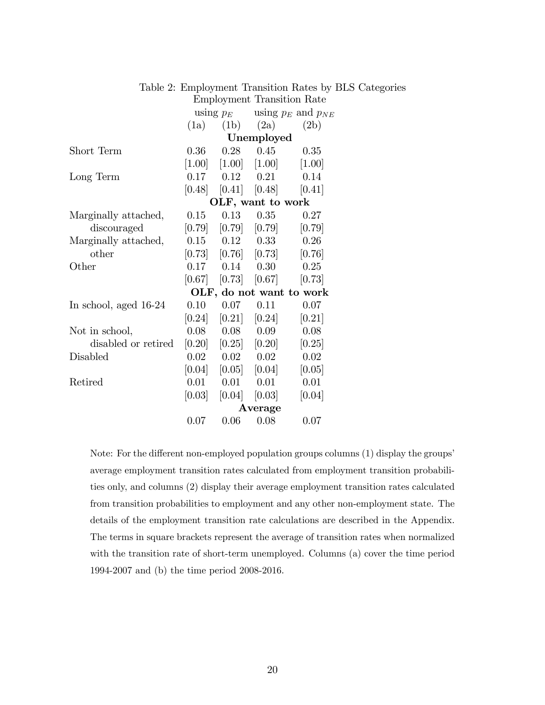|                       | Employment Transition Rate |        |                                     |                          |  |  |  |
|-----------------------|----------------------------|--------|-------------------------------------|--------------------------|--|--|--|
|                       | using $p_E$                |        | using $p_E$ and $p_{NE}$            |                          |  |  |  |
|                       | (1a)                       | (1b)   | (2a)                                | (2b)                     |  |  |  |
|                       |                            |        | Unemployed                          |                          |  |  |  |
| Short Term            | 0.36                       | 0.28   | 0.45                                | 0.35                     |  |  |  |
|                       | [1.00]                     |        | $[1.00]$ $[1.00]$                   | $[1.00]$                 |  |  |  |
| Long Term             | 0.17                       |        | $0.12 \qquad 0.21$                  | 0.14                     |  |  |  |
|                       | [0.48]                     |        | $[0.41]$ $[0.48]$ $[0.41]$          |                          |  |  |  |
|                       |                            |        | OLF, want to work                   |                          |  |  |  |
| Marginally attached,  | 0.15                       | 0.13   |                                     | $0.35$ $0.27$            |  |  |  |
| discouraged           |                            |        | $[0.79]$ $[0.79]$ $[0.79]$ $[0.79]$ |                          |  |  |  |
| Marginally attached,  |                            |        | $0.15$ $0.12$ $0.33$                | 0.26                     |  |  |  |
| other                 |                            |        | $[0.73]$ $[0.76]$ $[0.73]$          | [0.76]                   |  |  |  |
| Other                 | 0.17                       | 0.14   | 0.30                                | 0.25                     |  |  |  |
|                       |                            |        | $[0.67]$ $[0.73]$ $[0.67]$ $[0.73]$ |                          |  |  |  |
|                       |                            |        |                                     | OLF, do not want to work |  |  |  |
| In school, aged 16-24 | $0.10\,$                   | 0.07   | 0.11                                | 0.07                     |  |  |  |
|                       | [0.24]                     | [0.21] | [0.24]                              | [0.21]                   |  |  |  |
| Not in school,        | 0.08                       | 0.08   | 0.09                                | 0.08                     |  |  |  |
| disabled or retired   | [0.20]                     |        | $[0.25]$ $[0.20]$                   | [0.25]                   |  |  |  |
| Disabled              | 0.02                       |        | $0.02 \t 0.02$                      | 0.02                     |  |  |  |
|                       | [0.04]                     |        | $[0.05]$ $[0.04]$                   | [0.05]                   |  |  |  |
| Retired               | 0.01                       | 0.01   | 0.01                                | 0.01                     |  |  |  |
|                       | [0.03]                     | [0.04] | [0.03]                              | [0.04]                   |  |  |  |
|                       | Average                    |        |                                     |                          |  |  |  |
|                       | 0.07                       | 0.06   | 0.08                                | 0.07                     |  |  |  |

| Table 2: Employment Transition Rates by BLS Categories |  |
|--------------------------------------------------------|--|
| Employment Transition Rate                             |  |

Note: For the different non-employed population groups columns  $(1)$  display the groups' average employment transition rates calculated from employment transition probabilities only, and columns (2) display their average employment transition rates calculated from transition probabilities to employment and any other non-employment state. The details of the employment transition rate calculations are described in the Appendix. The terms in square brackets represent the average of transition rates when normalized with the transition rate of short-term unemployed. Columns (a) cover the time period 1994-2007 and (b) the time period 2008-2016.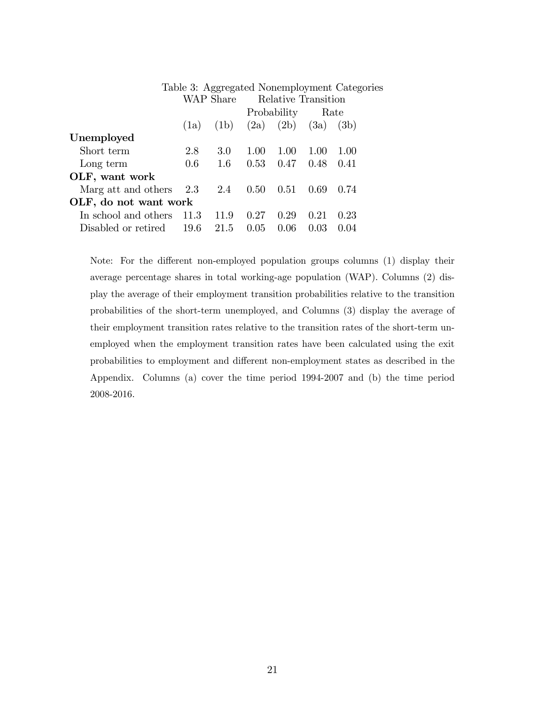|                       |      |           |                     |      |      | Table 3: Aggregated Nonemployment Categories |  |
|-----------------------|------|-----------|---------------------|------|------|----------------------------------------------|--|
|                       |      | WAP Share | Relative Transition |      |      |                                              |  |
|                       |      |           | Probability         |      | Rate |                                              |  |
|                       | (1a) | (1b)      | (2a)                | (2b) | (3a) | (3b)                                         |  |
| Unemployed            |      |           |                     |      |      |                                              |  |
| Short term            | 2.8  | 3.0       | 1.00                | 1.00 | 1.00 | 1.00                                         |  |
| Long term             | 0.6  | 1.6       | 0.53                | 0.47 | 0.48 | 0.41                                         |  |
| OLF, want work        |      |           |                     |      |      |                                              |  |
| Marg att and others   | 2.3  | 2.4       | 0.50                | 0.51 | 0.69 | 0.74                                         |  |
| OLF, do not want work |      |           |                     |      |      |                                              |  |
| In school and others  | 11.3 | 11.9      | 0.27                | 0.29 | 0.21 | 0.23                                         |  |
| Disabled or retired   | 19.6 | 21.5      | 0.05                | 0.06 | 0.03 | $(1)$ $(1)$                                  |  |

Note: For the different non-employed population groups columns (1) display their average percentage shares in total working-age population (WAP). Columns (2) display the average of their employment transition probabilities relative to the transition probabilities of the short-term unemployed, and Columns (3) display the average of their employment transition rates relative to the transition rates of the short-term unemployed when the employment transition rates have been calculated using the exit probabilities to employment and different non-employment states as described in the Appendix. Columns (a) cover the time period 1994-2007 and (b) the time period 2008-2016.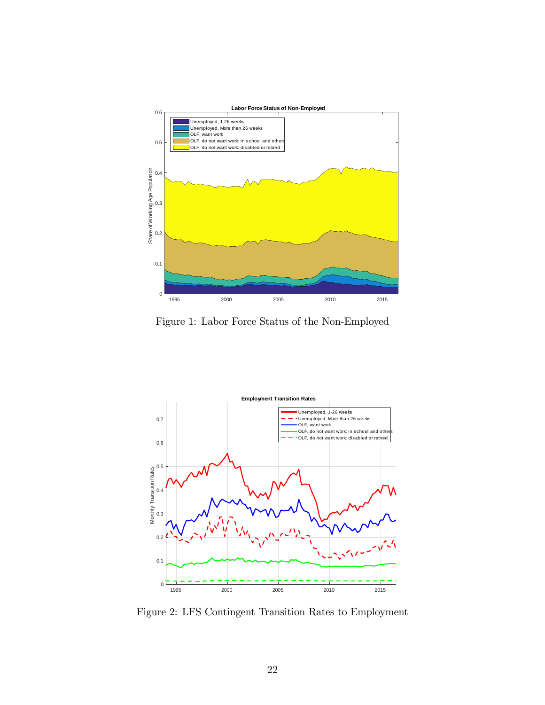

Figure 1: Labor Force Status of the Non-Employed



Figure 2: LFS Contingent Transition Rates to Employment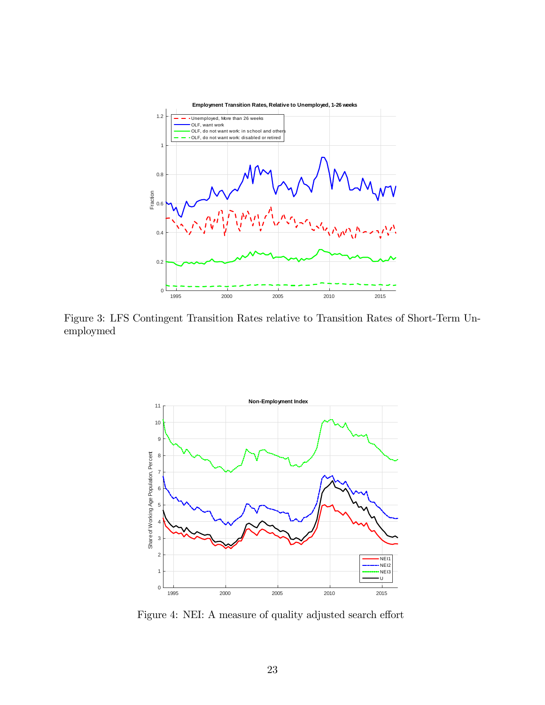

Figure 3: LFS Contingent Transition Rates relative to Transition Rates of Short-Term Unemploymed



Figure 4: NEI: A measure of quality adjusted search effort